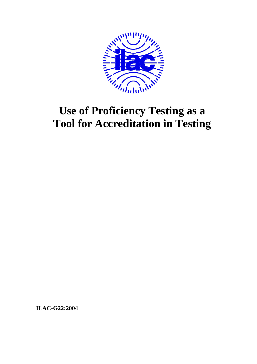

# **Use of Proficiency Testing as a Tool for Accreditation in Testing**

**ILAC-G22:2004**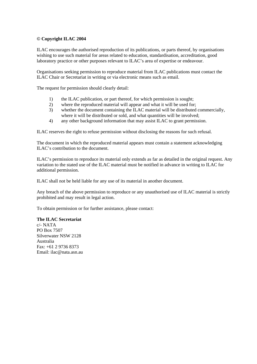#### **© Copyright ILAC 2004**

ILAC encourages the authorised reproduction of its publications, or parts thereof, by organisations wishing to use such material for areas related to education, standardisation, accreditation, good laboratory practice or other purposes relevant to ILAC's area of expertise or endeavour.

Organisations seeking permission to reproduce material from ILAC publications must contact the ILAC Chair or Secretariat in writing or via electronic means such as email.

The request for permission should clearly detail:

- 1) the ILAC publication, or part thereof, for which permission is sought;
- 2) where the reproduced material will appear and what it will be used for;
- 3) whether the document containing the ILAC material will be distributed commercially, where it will be distributed or sold, and what quantities will be involved;
- 4) any other background information that may assist ILAC to grant permission.

ILAC reserves the right to refuse permission without disclosing the reasons for such refusal.

The document in which the reproduced material appears must contain a statement acknowledging ILAC's contribution to the document.

ILAC's permission to reproduce its material only extends as far as detailed in the original request. Any variation to the stated use of the ILAC material must be notified in advance in writing to ILAC for additional permission.

ILAC shall not be held liable for any use of its material in another document.

Any breach of the above permission to reproduce or any unauthorised use of ILAC material is strictly prohibited and may result in legal action.

To obtain permission or for further assistance, please contact:

#### **The ILAC Secretariat**  c/- NATA

PO Box 7507 Silverwater NSW 2128 Australia  $Fax \div 61$  2 9736 8373 Email: ilac@nata.asn.au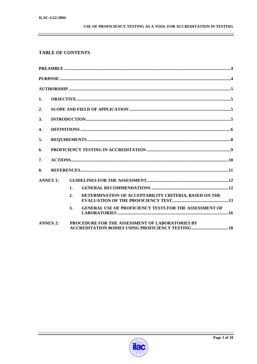# USE OF PROFICIENCY TESTING AS A TOOL FOR ACCREDITATION IN TESTING

# **TABLE OF CONTENTS**

| $\mathbf{1}$ .            |  |                                                                                                     |
|---------------------------|--|-----------------------------------------------------------------------------------------------------|
| 2.                        |  |                                                                                                     |
| 3.                        |  |                                                                                                     |
| $\overline{\mathbf{4}}$ . |  |                                                                                                     |
| 5.                        |  |                                                                                                     |
| 6.                        |  |                                                                                                     |
| 7.                        |  |                                                                                                     |
| 8.                        |  |                                                                                                     |
| <b>ANNEX 1:</b>           |  |                                                                                                     |
|                           |  | $\mathbf{1}$ .                                                                                      |
|                           |  | DETERMINATION OF ACCEPTABILITY CRITERIA, BASED ON THE<br>2.                                         |
|                           |  | <b>GENERAL USE OF PROFICIENCY TESTS FOR THE ASSESSMENT OF</b><br>3.                                 |
| <b>ANNEX 2:</b>           |  | PROCEDURE FOR THE ASSESSMENT OF LABORATORIES BY<br>ACCREDITATION BODIES USING PROFICIENCY TESTING18 |

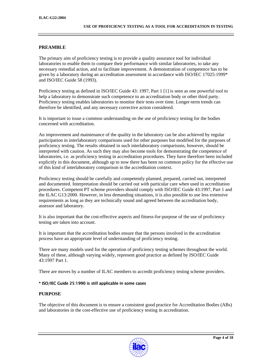## **PREAMBLE**

The primary aim of proficiency testing is to provide a quality assurance tool for individual laboratories to enable them to compare their performance with similar laboratories, to take any necessary remedial action, and to facilitate improvement. A demonstration of competence has to be given by a laboratory during an accreditation assessment in accordance with ISO/IEC 17025:1999\* and ISO/IEC Guide 58 (1993).

Proficiency testing as defined in ISO/IEC Guide 43: 1997, Part 1 [1] is seen as one powerful tool to help a laboratory to demonstrate such competence to an accreditation body or other third party. Proficiency testing enables laboratories to monitor their tests over time. Longer-term trends can therefore be identified, and any necessary corrective action considered.

It is important to issue a common understanding on the use of proficiency testing for the bodies concerned with accreditation.

An improvement and maintenance of the quality in the laboratory can be also achieved by regular participation in interlaboratory comparisons used for other purposes but modified for the purposes of proficiency testing. The results obtained in such interlaboratory comparisons, however, should be interpreted with caution. As such they may also become tools for demonstrating the competence of laboratories, i.e. as proficiency testing in accreditation procedures. They have therefore been included explicitly in this document, although up to now there has been no common policy for the effective use of this kind of interlaboratory comparison in the accreditation context.

Proficiency testing should be carefully and competently planned, prepared, carried out, interpreted and documented. Interpretation should be carried out with particular care when used in accreditation procedures. Competent PT scheme providers should comply with ISO/IEC Guide 43:1997, Part 1 and the ILAC G13:2000. However, in less demanding situations, it is also possible to use less extensive requirements as long as they are technically sound and agreed between the accreditation body, assessor and laboratory.

It is also important that the cost-effective aspects and fitness-for-purpose of the use of proficiency testing are taken into account.

It is important that the accreditation bodies ensure that the persons involved in the accreditation process have an appropriate level of understanding of proficiency testing.

There are many models used for the operation of proficiency testing schemes throughout the world. Many of these, although varying widely, represent good practice as defined by ISO/IEC Guide 43:1997 Part 1.

There are moves by a number of ILAC members to accredit proficiency testing scheme providers.

#### \* ISO/IEC Guide 25:1990 is still applicable in some cases

#### **PURPOSE**

The objective of this document is to ensure a consistent good practice for Accreditation Bodies (ABs) and laboratories in the cost-effective use of proficiency testing in accreditation.

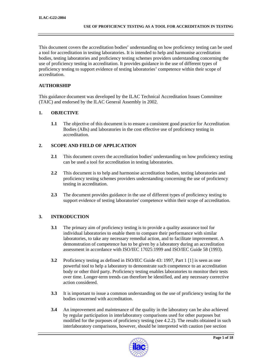This document covers the accreditation bodies' understanding on how proficiency testing can be used a tool for accreditation in testing laboratories. It is intended to help and harmonise accreditation bodies, testing laboratories and proficiency testing schemes providers understanding concerning the use of proficiency testing in accreditation. It provides guidance in the use of different types of proficiency testing to support evidence of testing laboratories' competence within their scope of accreditation.

## **AUTHORSHIP**

This guidance document was developed by the ILAC Technical Accreditation Issues Committee (TAIC) and endorsed by the ILAC General Assembly in 2002.

## **1. OBJECTIVE**

**1.1** The objective of this document is to ensure a consistent good practice for Accreditation Bodies (ABs) and laboratories in the cost effective use of proficiency testing in accreditation.

## **2. SCOPE AND FIELD OF APPLICATION**

- **2.1** This document covers the accreditation bodies' understanding on how proficiency testing can be used a tool for accreditation in testing laboratories.
- **2.2** This document is to help and harmonise accreditation bodies, testing laboratories and proficiency testing schemes providers understanding concerning the use of proficiency testing in accreditation.
- **2.3** The document provides guidance in the use of different types of proficiency testing to support evidence of testing laboratories' competence within their scope of accreditation.

# **3. INTRODUCTION**

- **3.1** The primary aim of proficiency testing is to provide a quality assurance tool for individual laboratories to enable them to compare their performance with similar laboratories, to take any necessary remedial action, and to facilitate improvement. A demonstration of competence has to be given by a laboratory during an accreditation assessment in accordance with ISO/IEC 17025:1999 and ISO/IEC Guide 58 (1993).
- **3.2** Proficiency testing as defined in ISO/IEC Guide 43: 1997, Part 1 [1] is seen as one powerful tool to help a laboratory to demonstrate such competence to an accreditation body or other third party. Proficiency testing enables laboratories to monitor their tests over time. Longer-term trends can therefore be identified, and any necessary corrective action considered.
- **3.3** It is important to issue a common understanding on the use of proficiency testing for the bodies concerned with accreditation.
- **3.4** An improvement and maintenance of the quality in the laboratory can be also achieved by regular participation in interlaboratory comparisons used for other purposes but modified for the purposes of proficiency testing (see 4.2.2). The results obtained in such interlaboratory comparisons, however, should be interpreted with caution (see section

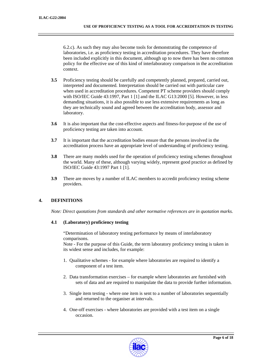6.2.c). As such they may also become tools for demonstrating the competence of laboratories, i.e. as proficiency testing in accreditation procedures. They have therefore been included explicitly in this document, although up to now there has been no common policy for the effective use of this kind of interlaboratory comparison in the accreditation context.

- **3.5** Proficiency testing should be carefully and competently planned, prepared, carried out, interpreted and documented. Interpretation should be carried out with particular care when used in accreditation procedures. Competent PT scheme providers should comply with ISO/IEC Guide 43:1997, Part 1 [1] and the ILAC G13:2000 [5]. However, in less demanding situations, it is also possible to use less extensive requirements as long as they are technically sound and agreed between the accreditation body, assessor and laboratory.
- **3.6** It is also important that the cost-effective aspects and fitness-for-purpose of the use of proficiency testing are taken into account.
- **3.7** It is important that the accreditation bodies ensure that the persons involved in the accreditation process have an appropriate level of understanding of proficiency testing.
- **3.8** There are many models used for the operation of proficiency testing schemes throughout the world. Many of these, although varying widely, represent good practice as defined by ISO/IEC Guide 43:1997 Part 1 [1].
- **3.9** There are moves by a number of ILAC members to accredit proficiency testing scheme providers.

# **4. DEFINITIONS**

*Note: Direct quotations from standards and other normative references are in quotation marks.* 

#### **4.1 (Laboratory) proficiency testing**

"Determination of laboratory testing performance by means of interlaboratory comparisons.

Note - For the purpose of this Guide, the term laboratory proficiency testing is taken in its widest sense and includes, for example:

- 1. Qualitative schemes for example where laboratories are required to identify a component of a test item.
- 2. Data transformation exercises for example where laboratories are furnished with sets of data and are required to manipulate the data to provide further information.
- 3. Single item testing where one item is sent to a number of laboratories sequentially and returned to the organiser at intervals.
- 4. One-off exercises where laboratories are provided with a test item on a single occasion.

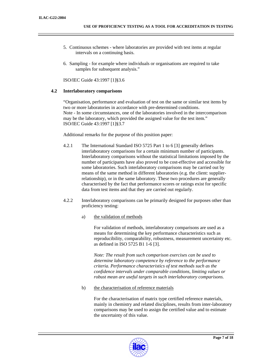- 5. Continuous schemes where laboratories are provided with test items at regular intervals on a continuing basis.
- 6. Sampling for example where individuals or organisations are required to take samples for subsequent analysis."

ISO/IEC Guide 43:1997 [1]§3.6

## **4.2 Interlaboratory comparisons**

"Organisation, performance and evaluation of test on the same or similar test items by two or more laboratories in accordance with pre-determined conditions. Note - In some circumstances, one of the laboratories involved in the intercomparison may be the laboratory, which provided the assigned value for the test item." ISO/IEC Guide 43:1997 [1]§3.7

Additional remarks for the purpose of this position paper:

- 4.2.1 The International Standard ISO 5725 Part 1 to 6 [3] generally defines interlaboratory comparisons for a certain minimum number of participants. Interlaboratory comparisons without the statistical limitations imposed by the number of participants have also proved to be cost-effective and accessible for some laboratories. Such interlaboratory comparisons may be carried out by means of the same method in different laboratories (e.g. the client: supplierrelationship), or in the same laboratory. These two procedures are generally characterised by the fact that performance scores or ratings exist for specific data from test items and that they are carried out regularly.
- 4.2.2 Interlaboratory comparisons can be primarily designed for purposes other than proficiency testing:
	- a) the validation of methods

For validation of methods, interlaboratory comparisons are used as a means for determining the key performance characteristics such as reproducibility, comparability, robustness, measurement uncertainty etc. as defined in ISO 5725 B1 1-6 [3].

*Note: The result from such comparison exercises can be used to determine laboratory competence by reference to the performance criteria. Performance characteristics of test methods such as the confidence intervals under comparable conditions, limiting values or robust mean are useful targets in such interlaboratory comparisons.* 

b) the characterisation of reference materials

For the characterisation of matrix type certified reference materials, mainly in chemistry and related disciplines, results from inter-laboratory comparisons may be used to assign the certified value and to estimate the uncertainty of this value.

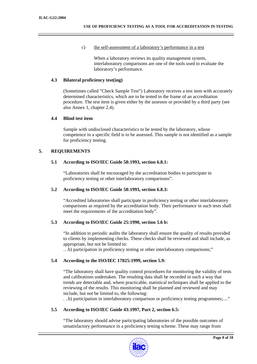c) the self-assessment of a laboratory's performance in a test

When a laboratory reviews its quality management system, interlaboratory comparisons are one of the tools used to evaluate the laboratory's performance.

## **4.3 Bilateral proficiency test(ing)**

(Sometimes called "Check Sample Test") Laboratory receives a test item with accurately determined characteristics, which are to be tested in the frame of an accreditation procedure. The test item is given either by the assessor or provided by a third party (see also Annex 1, chapter 2.4).

#### **4.4 Blind test item**

Sample with undisclosed characteristics to be tested by the laboratory, whose competence in a specific field is to be assessed. This sample is not identified as a sample for proficiency testing.

# **5. REQUIREMENTS**

## **5.1 According to ISO/IEC Guide 58:1993, section 6.8.1:**

"Laboratories shall be encouraged by the accreditation bodies to participate in proficiency testing or other interlaboratory comparisons".

#### **5.2 According to ISO/IEC Guide 58:1993, section 6.8.3:**

"Accredited laboratories shall participate in proficiency testing or other interlaboratory comparisons as required by the accreditation body. Their performance in such tests shall meet the requirements of the accreditation body".

# **5.3 According to ISO/IEC Guide 25:1990, section 5.6 b:**

"In addition to periodic audits the laboratory shall ensure the quality of results provided to clients by implementing checks. These checks shall be reviewed and shall include, as appropriate, but not be limited to:

…b) participation in proficiency testing or other interlaboratory comparisons;"

# **5.4 According to the ISO/IEC 17025:1999, section 5.9:**

"The laboratory shall have quality control procedures for monitoring the validity of tests and calibrations undertaken. The resulting data shall be recorded in such a way that trends are detectable and, where practicable, statistical techniques shall be applied to the reviewing of the results. This monitoring shall be planned and reviewed and may include, but not be limited to, the following:

. ..b) participation in interlaboratory comparison or proficiency testing programmes;...."

# **5.5 According to ISO/IEC Guide 43:1997, Part 2, section 6.5:**

"The laboratory should advise participating laboratories of the possible outcomes of unsatisfactory performance in a proficiency testing scheme. These may range from

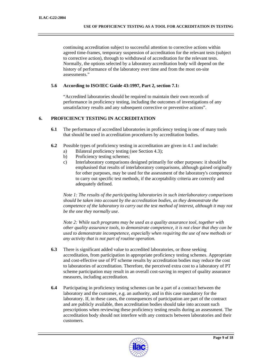continuing accreditation subject to successful attention to corrective actions within agreed time-frames, temporary suspension of accreditation for the relevant tests (subject to corrective action), through to withdrawal of accreditation for the relevant tests. Normally, the options selected by a laboratory accreditation body will depend on the history of performance of the laboratory over time and from the most on-site assessments."

#### **5.6 According to ISO/IEC Guide 43:1997, Part 2, section 7.1:**

"Accredited laboratories should be required to maintain their own records of performance in proficiency testing, including the outcomes of investigations of any unsatisfactory results and any subsequent corrective or preventive actions".

# **6. PROFICIENCY TESTING IN ACCREDITATION**

- **6.1** The performance of accredited laboratories in proficiency testing is one of many tools that should be used in accreditation procedures by accreditation bodies.
- **6.2** Possible types of proficiency testing in accreditation are given in 4.1 and include:
	- a) Bilateral proficiency testing (see Section 4.3);
	- b) Proficiency testing schemes;
	- c) Interlaboratory comparisons designed primarily for other purposes: it should be emphasised that results of interlaboratory comparisons, although gained originally for other purposes, may be used for the assessment of the laboratory's competence to carry out specific test methods, if the acceptability criteria are correctly and adequately defined.

*Note 1: The results of the participating laboratories in such interlaboratory comparisons should be taken into account by the accreditation bodies, as they demonstrate the competence of the laboratory to carry out the test method of interest, although it may not be the one they normally use.* 

*Note 2: While such programs may be used as a quality assurance tool, together with other quality assurance tools, to demonstrate competence, it is not clear that they can be used to demonstrate incompetence, especially when requiring the use of new methods or any activity that is not part of routine operation.*

- **6.3** There is significant added value to accredited laboratories, or those seeking accreditation, from participation in appropriate proficiency testing schemes. Appropriate and cost-effective use of PT scheme results by accreditation bodies may reduce the cost to laboratories of accreditation. Therefore, the perceived extra cost to a laboratory of PT scheme participation may result in an overall cost-saving in respect of quality assurance measures, including accreditation.
- **6.4** Participating in proficiency testing schemes can be a part of a contract between the laboratory and the customer, e.g. an authority, and in this case mandatory for the laboratory. If, in these cases, the consequences of participation are part of the contract and are publicly available, then accreditation bodies should take into account such prescriptions when reviewing these proficiency testing results during an assessment. The accreditation body should not interfere with any contracts between laboratories and their customers.

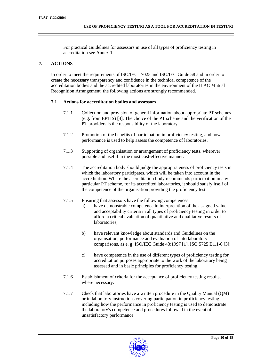For practical Guidelines for assessors in use of all types of proficiency testing in accreditation see Annex 1.

# **7. ACTIONS**

In order to meet the requirements of ISO/IEC 17025 and ISO/IEC Guide 58 and in order to create the necessary transparency and confidence in the technical competence of the accreditation bodies and the accredited laboratories in the environment of the ILAC Mutual Recognition Arrangement, the following actions are strongly recommended.

## **7.1 Actions for accreditation bodies and assessors**

- 7.1.1 Collection and provision of general information about appropriate PT schemes (e.g. from EPTIS) [4]. The choice of the PT scheme and the verification of the PT providers is the responsibility of the laboratory.
- 7.1.2 Promotion of the benefits of participation in proficiency testing, and how performance is used to help assess the competence of laboratories.
- 7.1.3 Supporting of organisation or arrangement of proficiency tests, wherever possible and useful in the most cost-effective manner.
- 7.1.4 The accreditation body should judge the appropriateness of proficiency tests in which the laboratory participates, which will be taken into account in the accreditation. Where the accreditation body recommends participation in any particular PT scheme, for its accredited laboratories, it should satisfy itself of the competence of the organisation providing the proficiency test.
- 7.1.5 Ensuring that assessors have the following competences:
	- a) have demonstrable competence in interpretation of the assigned value and acceptability criteria in all types of proficiency testing in order to afford a critical evaluation of quantitative and qualitative results of laboratories;
	- b) have relevant knowledge about standards and Guidelines on the organisation, performance and evaluation of interlaboratory comparisons, as e. g. ISO/IEC Guide 43:1997 [1], ISO 5725 B1.1-6 [3];
	- c) have competence in the use of different types of proficiency testing for accreditation purposes appropriate to the work of the laboratory being assessed and in basic principles for proficiency testing.
- 7.1.6 Establishment of criteria for the acceptance of proficiency testing results, where necessary.
- 7.1.7 Check that laboratories have a written procedure in the Quality Manual (QM) or in laboratory instructions covering participation in proficiency testing, including how the performance in proficiency testing is used to demonstrate the laboratory's competence and procedures followed in the event of unsatisfactory performance.

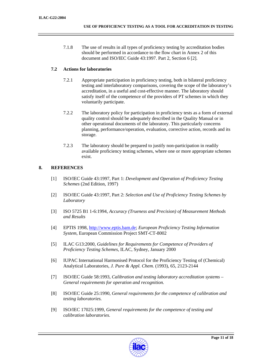7.1.8 The use of results in all types of proficiency testing by accreditation bodies should be performed in accordance to the flow chart in Annex 2 of this document and ISO/IEC Guide 43:1997. Part 2, Section 6 [2].

# **7.2 Actions for laboratories**

- 7.2.1 Appropriate participation in proficiency testing, both in bilateral proficiency testing and interlaboratory comparisons, covering the scope of the laboratory's accreditation, in a useful and cost-effective manner. The laboratory should satisfy itself of the competence of the providers of PT schemes in which they voluntarily participate.
- 7.2.2 The laboratory policy for participation in proficiency tests as a form of external quality control should be adequately described in the Quality Manual or in other operational documents of the laboratory. This particularly concerns planning, performance/operation, evaluation, corrective action, records and its storage.
- 7.2.3 The laboratory should be prepared to justify non-participation in readily available proficiency testing schemes, where one or more appropriate schemes exist.

# **8. REFERENCES**

- [1] ISO/IEC Guide 43:1997, Part 1: *Development and Operation of Proficiency Testing Schemes* (2nd Edition, 1997)
- [2] ISO/IEC Guide 43:1997, Part 2: *Selection and Use of Proficiency Testing Schemes by Laboratory*
- [3] ISO 5725 B1 1-6:1994, *Accuracy (Trueness and Precision) of Measurement Methods and Results*
- [4] EPTIS 1998, http://www.eptis.bam.de; *European Proficiency Testing Information System,* European Commission Project SMT-CT-8002
- [5] ILAC G13:2000, *Guidelines for Requirements for Competence of Providers of Proficiency Testing Schemes,* ILAC, Sydney, January 2000
- [6] IUPAC International Harmonised Protocol for the Proficiency Testing of (Chemical) Analytical Laboratories, *J. Pure & Appl. Chem.* (1993), 65, 2123-2144
- [7] ISO/IEC Guide 58:1993, *Calibration and testing laboratory accreditation systems General requirements for operation and recognition.*
- [8] ISO/IEC Guide 25:1990, *General requirements for the competence of calibration and testing laboratories.*
- [9] ISO/IEC 17025:1999, *General requirements for the competence of testing and calibration laboratories.*

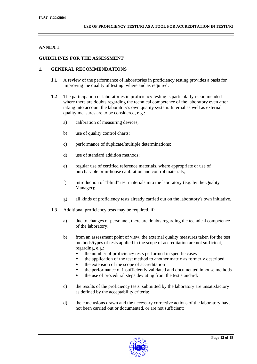## **ANNEX 1:**

#### **GUIDELINES FOR THE ASSESSMENT**

#### **1. GENERAL RECOMMENDATIONS**

- **1.1** A review of the performance of laboratories in proficiency testing provides a basis for improving the quality of testing, where and as required.
- **1.2** The participation of laboratories in proficiency testing is particularly recommended where there are doubts regarding the technical competence of the laboratory even after taking into account the laboratory's own quality system. Internal as well as external quality measures are to be considered, e.g.:
	- a) calibration of measuring devices;
	- b) use of quality control charts;
	- c) performance of duplicate/multiple determinations;
	- d) use of standard addition methods;
	- e) regular use of certified reference materials, where appropriate or use of purchasable or in-house calibration and control materials;
	- f) introduction of "blind" test materials into the laboratory (e.g. by the Quality Manager);
	- g) all kinds of proficiency tests already carried out on the laboratory's own initiative.
- **1.3** Additional proficiency tests may be required, if:
	- a) due to changes of personnel, there are doubts regarding the technical competence of the laboratory;
	- b) from an assessment point of view, the external quality measures taken for the test methods/types of tests applied in the scope of accreditation are not sufficient, regarding, e.g.:
		- the number of proficiency tests performed in specific cases
		- the application of the test method to another matrix as formerly described
		- the extension of the scope of accreditation
		- the performance of insufficiently validated and documented inhouse methods
		- the use of procedural steps deviating from the test standard;
	- c) the results of the proficiency tests submitted by the laboratory are unsatisfactory as defined by the acceptability criteria;
	- d) the conclusions drawn and the necessary corrective actions of the laboratory have not been carried out or documented, or are not sufficient;

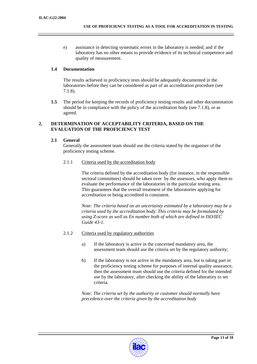e) assistance in detecting systematic errors in the laboratory is needed; and if the laboratory has no other means to provide evidence of its technical competence and quality of measurement.

## **1.4 Documentation**

The results achieved in proficiency tests should be adequately documented in the laboratories before they can be considered as part of an accreditation procedure (see 7.1.8).

**1.5** The period for keeping the records of proficiency testing results and other documentation should be in compliance with the policy of the accreditation body (see 7.1.8), or as agreed.

## **2. DETERMINATION OF ACCEPTABILITY CRITERIA, BASED ON THE EVALUATION OF THE PROFICIENCY TEST**

## **2.1 General**

Generally the assessment team should use the criteria stated by the organiser of the proficiency testing scheme.

2.1.1 Criteria used by the accreditation body

The criteria defined by the accreditation body (for instance, in the responsible sectoral committees) should be taken over by the assessors, who apply them to evaluate the performance of the laboratories in the particular testing area. This guarantees that the overall treatment of the laboratories applying for accreditation or being accredited is consistent.

*Note: The criteria based on an uncertainty estimated by a laboratory may be a criteria used by the accreditation body. This criteria may be formulated by using Z-score as well as En number both of which are defined in ISO/IEC Guide 43-1.* 

- 2.1.2 Criteria used by regulatory authorities
	- a) If the laboratory is active in the concerned mandatory area, the assessment team should use the criteria set by the regulatory authority;
	- b) If the laboratory is not active in the mandatory area, but is taking part in the proficiency testing scheme for purposes of internal quality assurance, then the assessment team should use the criteria defined for the intended use by the laboratory, after checking the ability of the laboratory to set criteria.

*Note: The criteria set by the authority or customer should normally have precedence over the criteria given by the accreditation body* 

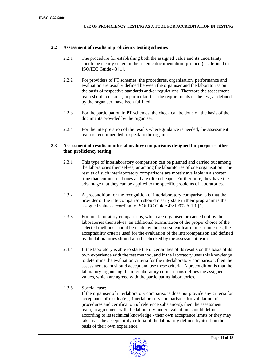#### **2.2 Assessment of results in proficiency testing schemes**

- 2.2.1 The procedure for establishing both the assigned value and its uncertainty should be clearly stated in the scheme documentation (protocol) as defined in ISO/IEC Guide 43 [1].
- 2.2.2 For providers of PT schemes, the procedures, organisation, performance and evaluation are usually defined between the organiser and the laboratories on the basis of respective standards and/or regulations. Therefore the assessment team should consider, in particular, that the requirements of the test, as defined by the organiser, have been fulfilled.
- 2.2.3 For the participation in PT schemes, the check can be done on the basis of the documents provided by the organiser.
- 2.2.4 For the interpretation of the results where guidance is needed, the assessment team is recommended to speak to the organiser.

#### **2.3 Assessment of results in interlaboratory comparisons designed for purposes other than proficiency testing**

- 2.3.1 This type of interlaboratory comparison can be planned and carried out among the laboratories themselves, or among the laboratories of one organisation. The results of such interlaboratory comparisons are mostly available in a shorter time than commercial ones and are often cheaper. Furthermore, they have the advantage that they can be applied to the specific problems of laboratories.
- 2.3.2 A precondition for the recognition of interlaboratory comparisons is that the provider of the intercomparison should clearly state in their programmes the assigned values according to ISO/IEC Guide 43:1997- A.1.1 [1].
- 2.3.3 For interlaboratory comparisons, which are organised or carried out by the laboratories themselves, an additional examination of the proper choice of the selected methods should be made by the assessment team. In certain cases, the acceptability criteria used for the evaluation of the intercomparison and defined by the laboratories should also be checked by the assessment team.
- 2.3.4 If the laboratory is able to state the uncertainties of its results on the basis of its own experience with the test method, and if the laboratory uses this knowledge to determine the evaluation criteria for the interlaboratory comparison, then the assessment team should accept and use these criteria. A precondition is that the laboratory organising the interlaboratory comparisons defines the assigned values, which are agreed with the participating laboratories.

# 2.3.5 Special case:

If the organiser of interlaboratory comparisons does not provide any criteria for acceptance of results (e.g. interlaboratory comparisons for validation of procedures and certification of reference substances), then the assessment team, in agreement with the laboratory under evaluation, should define – according to its technical knowledge - their own acceptance limits or they may take over the acceptability criteria of the laboratory defined by itself on the basis of their own experience.

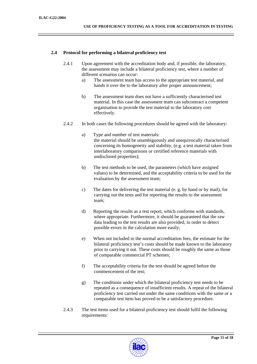## **2.4 Protocol for performing a bilateral proficiency test**

- 2.4.1 Upon agreement with the accreditation body and, if possible, the laboratory, the assessment may include a bilateral proficiency test, where a number of different scenarios can occur:
	- a) The assessment team has access to the appropriate test material, and hands it over the to the laboratory after proper announcement;
	- b) The assessment team does not have a sufficiently characterised test material. In this case the assessment team can subcontract a competent organisation to provide the test material to the laboratory cost effectively.
- 2.4.2 In both cases the following procedures should be agreed with the laboratory:
	- a) Type and number of test materials: the material should be unambiguously and unequivocally characterised concerning its homogeneity and stability, (e.g. a test material taken from interlaboratory comparisons or certified reference materials with undisclosed properties);
	- b) The test methods to be used, the parameters (which have assigned values) to be determined, and the acceptability criteria to be used for the evaluation by the assessment team;
	- c) The dates for delivering the test material (e. g. by hand or by mail), for carrying out the tests and for reporting the results to the assessment team;
	- d) Reporting the results as a test report, which conforms with standards, where appropriate. Furthermore, it should be guaranteed that the raw data leading to the test results are also provided, in order to detect possible errors in the calculation more easily;
	- e) When not included in the normal accreditation fees, the estimate for the bilateral proficiency test's costs should be made known to the laboratory prior to carrying it out. These costs should be roughly the same as those of comparable commercial PT schemes;
	- f) The acceptability criteria for the test should be agreed before the commencement of the test;
	- g) The conditions under which the bilateral proficiency test needs to be repeated as a consequence of insufficient results. A repeat of the bilateral proficiency test carried out under the same conditions with the same or a comparable test item has proved to be a satisfactory procedure.
- 2.4.3 The test items used for a bilateral proficiency test should fulfil the following requirements:

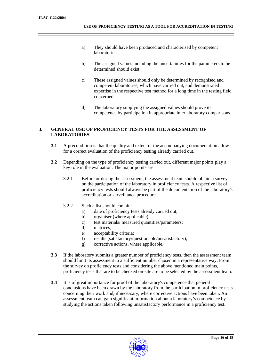- a) They should have been produced and characterised by competent laboratories;
- b) The assigned values including the uncertainties for the parameters to be determined should exist;
- c) These assigned values should only be determined by recognised and competent laboratories, which have carried out, and demonstrated expertise in the respective test method for a long time in the testing field concerned;
- d) The laboratory supplying the assigned values should prove its competence by participation in appropriate interlaboratory comparisons.

# **3. GENERAL USE OF PROFICIENCY TESTS FOR THE ASSESSMENT OF LABORATORIES**

- **3.1** A precondition is that the quality and extent of the accompanying documentation allow for a correct evaluation of the proficiency testing already carried out.
- **3.2** Depending on the type of proficiency testing carried out, different major points play a key role in the evaluation. The major points are:
	- 3.2.1 Before or during the assessment, the assessment team should obtain a survey on the participation of the laboratory in proficiency tests. A respective list of proficiency tests should always be part of the documentation of the laboratory's accreditation or surveillance procedure.
	- 3.2.2 Such a list should contain:
		- a) date of proficiency tests already carried out;
		- b) organiser (where applicable);
		- c) test materials/ measured quantities/parameters;
		- d) matrices;
		- e) acceptability criteria;
		- f) results (satisfactory/questionable/unsatisfactory);
		- g) corrective actions, where applicable.
- **3.3** If the laboratory submits a greater number of proficiency tests, then the assessment team should limit its assessment to a sufficient number chosen in a representative way. From the survey on proficiency tests and considering the above mentioned main points, proficiency tests that are to be checked on-site are to be selected by the assessment team.
- **3.4** It is of great importance for proof of the laboratory's competence that general conclusions have been drawn by the laboratory from the participation in proficiency tests concerning their work and, if necessary, where corrective actions have been taken. An assessment team can gain significant information about a laboratory's competence by studying the actions taken following unsatisfactory performance in a proficiency test.

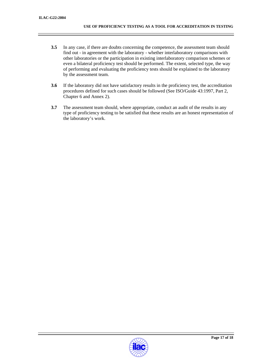- **3.5** In any case, if there are doubts concerning the competence, the assessment team should find out - in agreement with the laboratory - whether interlaboratory comparisons with other laboratories or the participation in existing interlaboratory comparison schemes or even a bilateral proficiency test should be performed. The extent, selected type, the way of performing and evaluating the proficiency tests should be explained to the laboratory by the assessment team.
- **3.6** If the laboratory did not have satisfactory results in the proficiency test, the accreditation procedures defined for such cases should be followed (See ISO/Guide 43:1997, Part 2, Chapter 6 and Annex 2).
- **3.7** The assessment team should, where appropriate, conduct an audit of the results in any type of proficiency testing to be satisfied that these results are an honest representation of the laboratory's work.